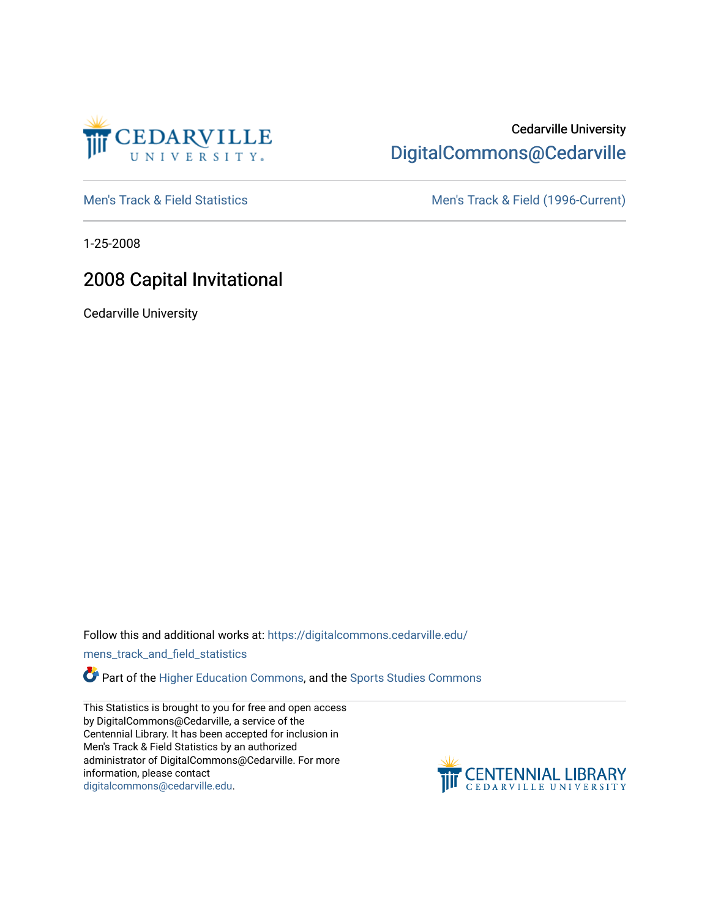

## Cedarville University [DigitalCommons@Cedarville](https://digitalcommons.cedarville.edu/)

[Men's Track & Field Statistics](https://digitalcommons.cedarville.edu/mens_track_and_field_statistics) [Men's Track & Field \(1996-Current\)](https://digitalcommons.cedarville.edu/mens_track_and_field) 

1-25-2008

# 2008 Capital Invitational

Cedarville University

Follow this and additional works at: [https://digitalcommons.cedarville.edu/](https://digitalcommons.cedarville.edu/mens_track_and_field_statistics?utm_source=digitalcommons.cedarville.edu%2Fmens_track_and_field_statistics%2F202&utm_medium=PDF&utm_campaign=PDFCoverPages)

[mens\\_track\\_and\\_field\\_statistics](https://digitalcommons.cedarville.edu/mens_track_and_field_statistics?utm_source=digitalcommons.cedarville.edu%2Fmens_track_and_field_statistics%2F202&utm_medium=PDF&utm_campaign=PDFCoverPages)

Part of the [Higher Education Commons,](http://network.bepress.com/hgg/discipline/1245?utm_source=digitalcommons.cedarville.edu%2Fmens_track_and_field_statistics%2F202&utm_medium=PDF&utm_campaign=PDFCoverPages) and the Sports Studies Commons

This Statistics is brought to you for free and open access by DigitalCommons@Cedarville, a service of the Centennial Library. It has been accepted for inclusion in Men's Track & Field Statistics by an authorized administrator of DigitalCommons@Cedarville. For more information, please contact [digitalcommons@cedarville.edu](mailto:digitalcommons@cedarville.edu).

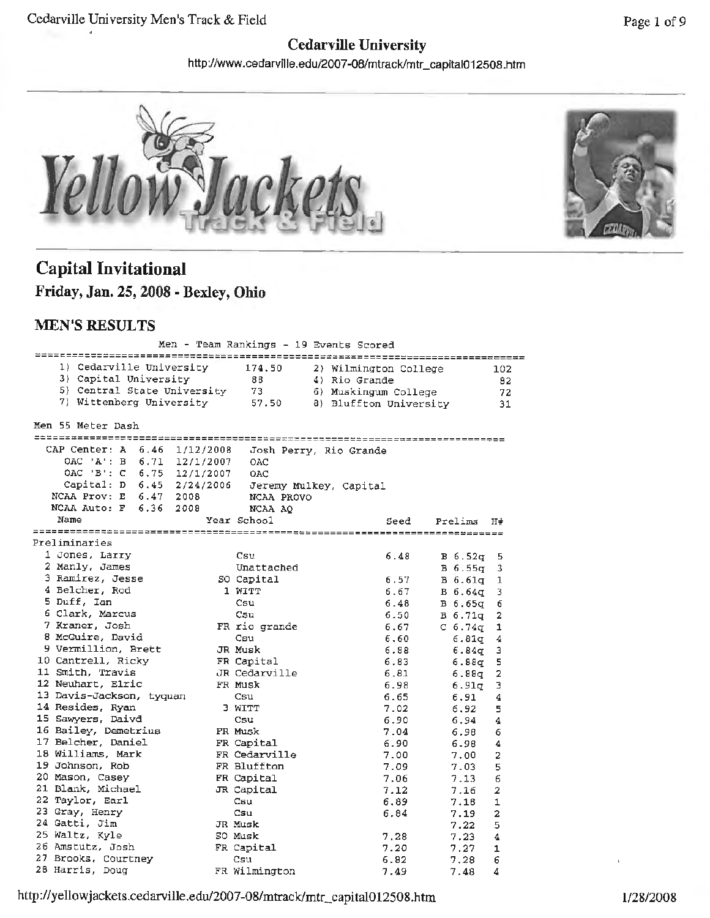## **Cedarville University**

http://www.cedarville.edu/2007-08/mtrack/mtr\_capital012508.htm





## **Capital Invitational Friday, Jan. 25, 2008 - Bexley, Ohio**

### **MEN'S RESULTS**

| Men - Team Rankings - 19 Events Scored |                                 |      |            |                |  |  |
|----------------------------------------|---------------------------------|------|------------|----------------|--|--|
|                                        |                                 |      |            |                |  |  |
| 1) Cedarville University               | 174.50<br>2) Wilmington College |      |            | 102            |  |  |
| 3) Capital University                  | 88<br>4) Rio Grande             |      |            | 82             |  |  |
| 5) Central State University            | -73<br>6) Muskingum College     |      |            | 72             |  |  |
| 7) Wittenberg University               | 8) Bluffton University<br>57.50 |      |            | 31             |  |  |
|                                        |                                 |      |            |                |  |  |
| Men 55 Meter Dash                      |                                 |      |            |                |  |  |
|                                        |                                 |      |            |                |  |  |
| CAP Center: A 6.46<br>1/12/2008        | Josh Perry, Rio Grande          |      |            |                |  |  |
| OAC 'A': B<br>6.71<br>12/1/2007        | OAC                             |      |            |                |  |  |
| $OAC$ $B': C$<br>6.75<br>12/1/2007     | OAC                             |      |            |                |  |  |
| Capital: D 6.45 2/24/2006              | Jeremy Mulkey, Capital          |      |            |                |  |  |
| NCAA Prov: E 6.47 2008                 | NCAA PROVO                      |      |            |                |  |  |
| NCAA Auto: F 6.36<br>2008<br>Name      | NCAA AO                         |      |            |                |  |  |
|                                        | Year School                     | Seed | Prelims    | H#             |  |  |
| Preliminaries                          |                                 |      |            |                |  |  |
| 1 Jones, Larry                         | Csu                             | 6.48 | B 6.52q    | 5              |  |  |
| 2 Manly, James                         | Unattached                      |      | B 6.55q    | 3              |  |  |
| 3 Ramirez, Jesse                       | SO Capital                      | 6.57 | B 6.61g    | 1              |  |  |
| 4 Belcher, Rod                         | 1 WITT                          | 6.67 | В б.64д    | 3              |  |  |
| 5 Duff, Ian                            | Csu                             | 6.48 | $B\,6.65q$ | 6              |  |  |
| 6 Clark, Marcus                        | Csu                             | 6.50 | $B_6.71q$  | 2              |  |  |
| 7 Kraner, Josh                         | FR rio grande                   | 6.67 | C $6.74q$  | 1              |  |  |
| 8 McGuire, David                       | Csu                             | 6,60 | 6.81q      | 4              |  |  |
| 9 Vermillion, Brett                    | JR Musk                         | 6.88 | 6.84զ      | 3              |  |  |
| 10 Cantrell, Ricky                     | FR Capital                      | 6.83 | 6.88α      | 5              |  |  |
| 11 Smith, Travis                       | JR Cedarville                   | 6.81 | 6.88q      | 2              |  |  |
| 12 Neuhart, Elric                      | FR Musk                         | 6.98 | 6.91q      | з              |  |  |
| 13 Davis-Jackson, tyquan               | Csu                             | 6.65 | 6.91       | 4              |  |  |
| 14 Resides, Ryan                       | 3 WITT                          | 7.02 | 6.92       | 5              |  |  |
| 15 Sawyers, Daivd                      | Csu                             | 6.90 | 6.94       | 4              |  |  |
| 16 Bailey, Demetrius                   | FR Musk                         | 7.04 | 6.98       | 6              |  |  |
| 17 Belcher, Daniel                     | FR Capital                      | 6.90 | 6.98       | 4              |  |  |
| 18 Williams, Mark                      | FR Cedarville                   | 7.00 | 7.00       | 2              |  |  |
| 19 Johnson, Rob                        | FR Bluffton                     | 7.09 | 7.03       | 5              |  |  |
| 20 Mason, Casey                        | FR Capital                      | 7.06 | 7.13       | 6              |  |  |
| 21 Blank, Michael                      | JR Capital                      | 7.12 | 7.16       | 2              |  |  |
| 22 Taylor, Earl                        | Csu                             | 6.89 | 7.18       | 1              |  |  |
| 23 Gray, Henry                         | Csu                             | 6.84 | 7.19       | $\overline{a}$ |  |  |
| 24 Gatti, Jim                          | JR Musk                         |      | 7.22       | 5              |  |  |
| 25 Waltz, Kyle                         | 50 Musk                         | 7.28 | 7.23       | 4              |  |  |
| 26 Amstutz, Josh                       | FR Capital                      | 7.20 | 7.27       | 1              |  |  |
| 27 Brooks, Courtney                    | Csu                             | 6.82 | 7.28       | 6              |  |  |
| 28 Harris, Doug                        | FR Wilmington                   | 7.49 | 7.48       | Δ              |  |  |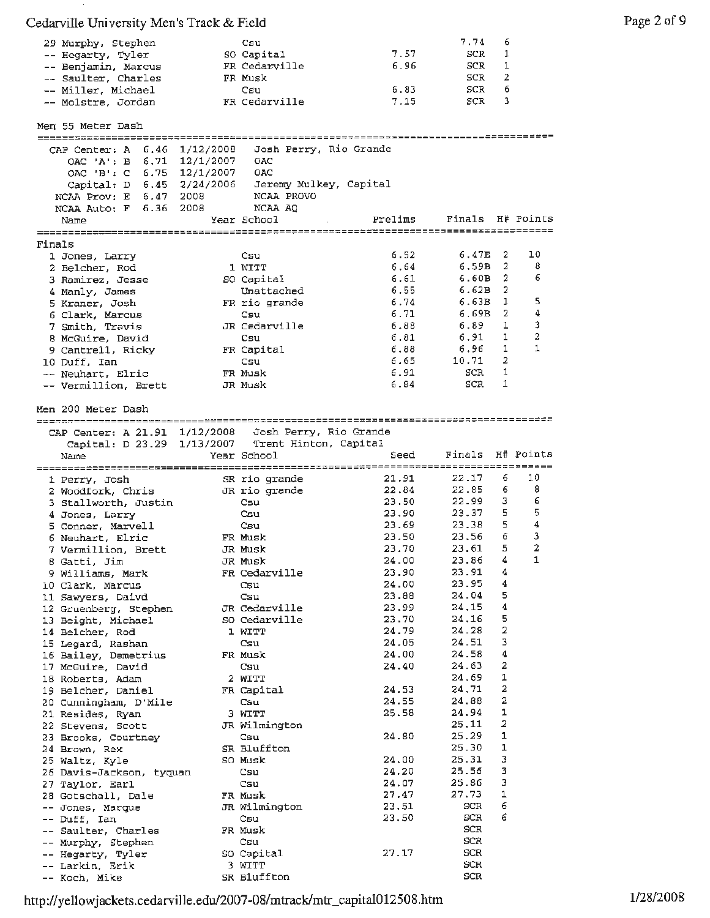| 29 Murphy, Stephen  | Csu           |      | 7.74 6 |    |
|---------------------|---------------|------|--------|----|
| -- Hegarty, Tyler   | SO Capital    | 7.57 | SCR    |    |
| -- Benjamin, Marcus | FR Cedarville | 6.96 | SCR    |    |
| -- Saulter, Charles | FR Musk       |      | SCR    | 2  |
| -- Miller, Michael  | Csu           | 6.83 | SCR    | -6 |
| -- Molstre, Jordan  | FR Cedarville | 7.15 | SCR    | -3 |

 $\mathbf{S}$ 

|        | Men 55 Meter Dash                                    |                        |                        |                        |                  |                |           |
|--------|------------------------------------------------------|------------------------|------------------------|------------------------|------------------|----------------|-----------|
|        |                                                      |                        |                        |                        |                  |                |           |
|        | CAP Center: A 6.46 1/12/2008                         |                        |                        | Josh Perry, Rio Grande |                  |                |           |
|        | OAC 'A': B                                           | $6.71 \quad 12/1/2007$ | OAC                    |                        |                  |                |           |
|        | OAC 'B': C 6.75 12/1/2007                            |                        | OAC                    |                        |                  |                |           |
|        | Capital: D 6.45 2/24/2006                            |                        | Jeremy Mulkey, Capital |                        |                  |                |           |
|        | NCAA Prov: E 6.47 2008                               |                        | NCAA PROVO             |                        |                  |                |           |
|        | NCAA Auto: F 6.36                                    | 2008                   | NCAA AQ                |                        |                  |                |           |
|        | Name                                                 |                        | Year School            | Prelims                | Finals H# Points |                |           |
|        |                                                      |                        |                        |                        |                  |                |           |
| Finals |                                                      |                        |                        |                        |                  |                |           |
|        | 1 Jones, Larry                                       |                        | Csu                    | 6.52                   | 6.47E            | 2              | 10        |
|        | 2 Belcher, Rod                                       |                        | 1 WITT                 | 6.64                   | 6,59B            | 2              | 8         |
|        | 3 Ramirez, Jesse                                     |                        | SO Capital             | 6.61                   | 6.60B            | 2              | 6         |
|        | 4 Manly, James                                       |                        | Unattached             | 6.55                   | 6.62B            | 2              |           |
|        |                                                      |                        |                        | 6.74                   | 6.63B            | 1              | 5         |
|        | 5 Kraner, Josh                                       |                        | FR rio grande          |                        |                  | 2              | 4         |
|        | 6 Clark, Marcus                                      |                        | Csu                    | 6.71                   | 6.69B            |                |           |
|        | 7 Smith, Travis                                      |                        | JR Cedarville          | 6.88                   | 6.89             | 1              | 3         |
|        | 8 McGuire, David                                     |                        | $\cos u$               | 6.81                   | 6.91             | 1              | 2         |
|        | 9 Cantrell, Ricky                                    |                        | FR Capital             | 6.88                   | 6.96             | 1              | 1         |
|        | 10 Duff, Ian                                         |                        | Csu                    | 6.65                   | 10.71            | 2              |           |
|        | -- Neuhart, Elric                                    |                        | FR Musk                | 6.91                   | SCR              | 1              |           |
|        | -- Vermillion, Brett                                 |                        | JR Musk                | 6.84                   | SCR              | 1              |           |
|        |                                                      |                        |                        |                        |                  |                |           |
|        | Men 200 Meter Dash                                   |                        |                        |                        |                  |                |           |
|        |                                                      |                        |                        |                        |                  |                |           |
|        |                                                      |                        |                        |                        |                  |                |           |
|        | CAP Center: A 21.91 1/12/2008 Josh Perry, Rio Grande |                        |                        |                        |                  |                |           |
|        | Capital: D 23.29 1/13/2007 Trent Hinton, Capital     |                        |                        |                        |                  |                |           |
|        | Name                                                 |                        | Year School            | Seed                   | Finals           |                | H# Points |
|        |                                                      |                        |                        |                        |                  |                |           |
|        | 1 Perry, Josh                                        |                        | SR rio grande          | 21.91                  | 22.17            | 6              | 10        |
|        | 2 Woodfork, Chris                                    |                        | JR rio grande          | 22.84                  | 22.85            | 6              | 8         |
|        | 3 Stallworth, Justin                                 |                        | Csu                    | 23.50                  | 22.99            | з              | 6         |
|        | 4 Jones, Larry                                       |                        | Csu                    | 23.90                  | 23.37            | 5              | 5         |
|        | 5 Conner, Marvell                                    |                        | Csu                    | 23.69                  | 23,38            | 5              | 4         |
|        | 6 Neuhart, Elric                                     |                        | FR Musk                | 23.50                  | 23.56            | 6              | з         |
|        | 7 Vermillion, Brett                                  |                        | JR Musk                | 23.70                  | 23.61            | 5              | 2         |
|        |                                                      |                        |                        | 24.00                  | 23.86            | 4              | 1         |
|        | 8 Gatti, Jim                                         |                        | JR Musk                |                        | 23.91            | 4              |           |
|        | 9 Williams, Mark                                     |                        | FR Cedarville          | 23.90                  |                  |                |           |
|        | 10 Clark, Marcus                                     |                        | Csu                    | 24.00                  | 23.95            | 4              |           |
|        | 11 Sawyers, Daivd                                    |                        | Csu                    | 23.88                  | 24.04            | 5              |           |
|        | 12 Gruenberg, Stephen                                |                        | JR Cedarville          | 23.99                  | 24.15            | 4              |           |
|        | 13 Beight, Michael                                   |                        | SO Cedarville          | 23.70                  | 24.16            | 5              |           |
|        | 14 Belcher, Rod                                      |                        | 1 WITT                 | 24.79                  | 24.28            | $\overline{a}$ |           |
|        | 15 Legard, Rashan                                    |                        | Csu                    | 24.05                  | 24.51            | ٦              |           |
|        | 16 Bailey, Demetrius                                 |                        | FR Musk                | 24.00                  | 24.58            | 4              |           |
|        | 17 McGuire, David                                    |                        | Csu                    | 24.40                  | 24.63            | 2              |           |
|        | 18 Roberts, Adam                                     |                        | 2 WITT                 |                        | 24,69            | 1              |           |
|        | 19 Belcher, Daniel                                   |                        | FR Capital             | 24.53                  | 24.71            | 2              |           |
|        |                                                      |                        |                        | 24.55                  | 24,88            | 2              |           |
|        | 20 Cunningham, D'Mile                                |                        | Csu                    |                        |                  | 1              |           |
|        | 21 Resides, Ryan                                     |                        | 3 WITT                 | 25.58                  | 24.94            |                |           |
|        | 22 Stevens, Scott                                    |                        | JR Wilmington          |                        | 25,11            | 2              |           |
|        | 23 Brooks, Courtney                                  |                        | Csu                    | 24.80                  | 25.29            | 1              |           |
|        | 24 Brown, Rex                                        |                        | SR Bluffton            |                        | 25.30            | 1              |           |
|        | 25 Waltz, Kyle                                       |                        | SO Musk                | 24.00                  | 25.31            | 3              |           |
|        | 26 Davis-Jackson, tyquan                             |                        | Csu                    | 24.20                  | 25.56            | 3              |           |
|        | 27 Taylor, Earl                                      |                        | Csu                    | 24.07                  | 25.86            | з              |           |
|        | 28 Gotschall, Dale                                   |                        | FR Musk                | 27.47                  | 27.73            | 1              |           |
|        | -- Jones, Marque                                     |                        | JR Wilmington          | 23.51                  | SCR              | 6              |           |
|        | -- Duff, Ian                                         |                        | Csu                    | 23.50                  | SCR              | 6              |           |
|        | -- Saulter, Charles                                  |                        | FR Musk                |                        | SCR              |                |           |
|        |                                                      |                        |                        |                        | SCR              |                |           |
|        | -- Murphy, Stephen                                   |                        | Csu                    | 27.17                  | SCR              |                |           |
|        | -- Hegarty, Tyler                                    |                        | SO Capital             |                        |                  |                |           |
|        | -- Larkin, Erik                                      |                        | 3 WITT                 |                        | SCR              |                |           |
|        | -- Koch, Mike                                        |                        | SR Bluffton            |                        | SCR              |                |           |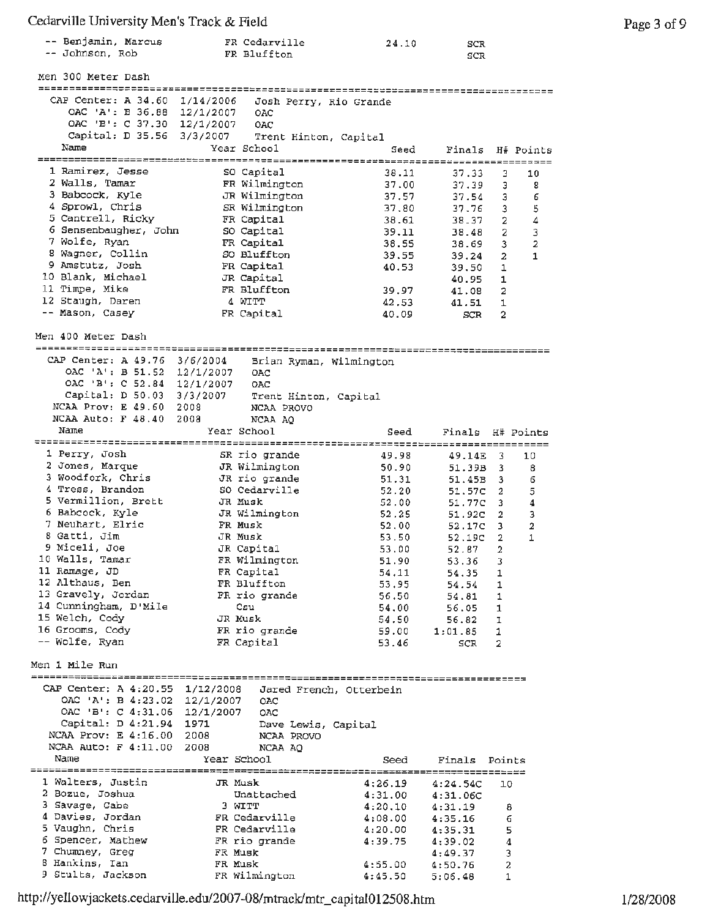| -- Benjamin, Marcus | FR Cedarville | 24.10 | SCR |
|---------------------|---------------|-------|-----|
| -- Johnson, Rob     | FR Bluffton   |       | SCR |

| -- JOHNSON, ROD                                         |             | FR Bluttton   |                         | SCR           |                |           |
|---------------------------------------------------------|-------------|---------------|-------------------------|---------------|----------------|-----------|
| Men 300 Meter Dash                                      |             |               |                         |               |                |           |
| -------------------------------------                   |             |               |                         |               |                |           |
| CAP Center: A 34.60 1/14/2006                           |             |               | Josh Perry, Rio Grande  |               |                |           |
| OAC 'A': B 36.88 12/1/2007                              |             | OAC           |                         |               |                |           |
| OAC 'B': C 37.30 12/1/2007                              |             | OAC           |                         |               |                |           |
| Capital: D 35.56 3/3/2007                               |             |               | Trent Hinton, Capital   |               |                |           |
| Name                                                    |             | Year School   | Seed                    | Finals        |                | H# Points |
|                                                         |             |               |                         |               |                |           |
| 1 Ramirez, Jesse                                        |             | SO Capital    | 38.11                   | 37.33         | 3              | 10        |
| 2 Walls, Tamar                                          |             | FR Wilmington | 37.00                   | 37.39         | 3              | 8         |
| 3 Babcock, Kyle                                         |             | JR Wilmington | 37.57                   | 37.54         | 3              | 6         |
| 4 Sprowl, Chris                                         |             | SR Wilmington | 37,80                   | 37.76         | 3              | 5         |
| 5 Cantrell, Ricky                                       |             | FR Capital    | 38.61                   | 38.37         | 2              | 4         |
| 6 Sensenbaugher, John                                   |             | SO Capital    | 39.11                   | 38.48         | 2              | 3         |
| 7 Wolfe, Ryan                                           |             | FR Capital    | 38.55                   | 38.69         | 3              | 2         |
| 8 Wagner, Collin                                        |             | SO Bluffton   | 39.55                   | 39.24         | 2              | 1         |
| 9 Amstutz, Josh                                         |             | FR Capital    | 40.53                   | 39.50         | 1              |           |
| 10 Blank, Michael                                       |             | JR Capital    |                         | 40.95         | 1              |           |
| 11 Timpe, Mike                                          |             | FR Bluffton   | 39.97                   | 41.08         | 2              |           |
| 12 Staugh, Daren                                        |             | 4 WITT        | 42.53                   | 41.51         | 1              |           |
| -- Mason, Casey                                         |             | FR Capital    | 40.09                   | SCR.          | 2              |           |
| Men 400 Meter Dash                                      |             |               |                         |               |                |           |
|                                                         |             |               |                         |               |                |           |
| CAP Center: A 49.76 3/6/2004                            |             |               | Brian Ryman, Wilmington |               |                |           |
| OAC 'A': B 51.52 12/1/2007                              |             | OAC           |                         |               |                |           |
| OAC 'B': C 52.84 12/1/2007                              |             | OAC           |                         |               |                |           |
| Capital: D 50.03 3/3/2007                               |             |               | Trent Hinton, Capital   |               |                |           |
| NCAA Prov: E 49.60 2008                                 |             | NCAA PROVO    |                         |               |                |           |
| NCAA Auto: $F$ 48.40                                    | 2008        | NCAA AO       |                         |               |                |           |
| Name                                                    |             | Year School   | Seed                    | Finals        | H# Points      |           |
|                                                         |             |               |                         |               |                |           |
| 1 Perry, Josh                                           |             | SR rio grande | 49.98                   | 49.14E        | 3              | 10        |
| 2 Jones, Marque                                         |             | JR Wilmington | 50.90                   | 51.39B        | 3              | 8         |
| 3 Woodfork, Chris                                       |             | JR rio grande | 51.31                   | 51.45B        | з              | 6         |
| 4 Tress, Brandon                                        |             | SO Cedarville | 52.20                   | 51.57C        | 2              | 5         |
| 5 Vermillion, Brett                                     |             | JR Musk       | 52.00                   | 51.77C        | 3              | 4         |
| 6 Babcock, Kyle                                         |             | JR Wilmington | 52,25                   | 51.92C        | 2              | з         |
| 7 Neuhart, Elric                                        |             | FR Musk       | 52.00                   | 52.17C        | 3              | 2         |
| 8 Gatti, Jim                                            |             | JR Musk       | 53.50                   | 52.19C        | $\overline{2}$ | 1         |
| 9 Miceli, Joe                                           |             | JR Capital    | 53.00                   | 52.87         | $\overline{a}$ |           |
| 10 Walls, Tamar                                         |             | FR Wilmington | 51.90                   | 53.36         | 3              |           |
| ll Ramage, JD                                           |             | FR Capital    | 54.11                   | 54.35         | 1              |           |
| 12 Althaus, Ben                                         |             | FR Bluffton   | 53,95                   | 54.54         | 1              |           |
| 13 Gravely, Jordan                                      |             | FR rio grande | 56.50                   | 54.81         | $\mathbf{1}$   |           |
| 14 Cunningham, D'Mile                                   |             | Csu           | 54.00                   | 56.05 1       |                |           |
| 15 Welch, Cody                                          |             | JR Musk       | 54.50                   | 56.82 1       |                |           |
| 16 Grooms, Cody<br>-- Wolfe, Ryan                       |             | FR rio grande | 59.00                   | 1:01.85       | 1              |           |
|                                                         |             | FR Capital    | 53.46                   | SCR           | $\overline{2}$ |           |
| Men 1 Mile Run                                          |             |               |                         |               |                |           |
|                                                         |             |               |                         |               |                |           |
| CAP Center: A 4:20.55 1/12/2008 Jared French, Otterbein |             |               |                         |               |                |           |
| OAC 'A': B 4:23.02 12/1/2007 OAC                        |             |               |                         |               |                |           |
| OAC 'B': C 4:31.06 12/1/2007 OAC                        |             |               |                         |               |                |           |
| Capital: D 4:21.94 1971                                 |             |               | Dave Lewis, Capital     |               |                |           |
| NCAA Prov: E 4:16.00 2008                               |             | NCAA PROVO    |                         |               |                |           |
| NCAA Auto: F 4:11.00 2008                               |             | NCAA AQ       |                         |               |                |           |
| Name                                                    | Year School |               | Seed                    | Finals Points |                |           |
|                                                         |             |               |                         |               |                |           |
| 1 Walters, Justin                                       | JR Musk     |               | 4:26.19                 | 4:24.54C      | 10             |           |
| 2 Bozue, Joshua                                         |             | Unattached    | 4:31.00                 | 4:31.06C      |                |           |
| 3 Savage, Gabe                                          | 3 WITT      |               | 4:20.10                 | 4:31.19       | 8              |           |
| 4 Davies, Jordan                                        |             | FR Cedarville | 4:08.00                 | 4:35.16       | 6              |           |
| 5 Vaughn, Chris                                         |             | FR Cedarville | 4:20.00                 | 4:35.31       | 5              |           |
| 6 Spencer, Mathew                                       |             | FR rio grande | 4:39.75                 | 4:39.02       | 4              |           |
| 7 Chumney, Greg                                         | FR Musk     |               |                         | 4:49.37       | 3              |           |
| 8 Hankins, Ian                                          | FR Musk     |               | 4:55.00                 | 4:50.76       | 2              |           |
| 9 Stults, Jackson                                       |             | FR Wilmington | 4:45.50                 | 5:06.48       | 1              |           |

http://yellowjackets.cedarville.edu/2007-08/mtrack/mtr\_capital012508.htm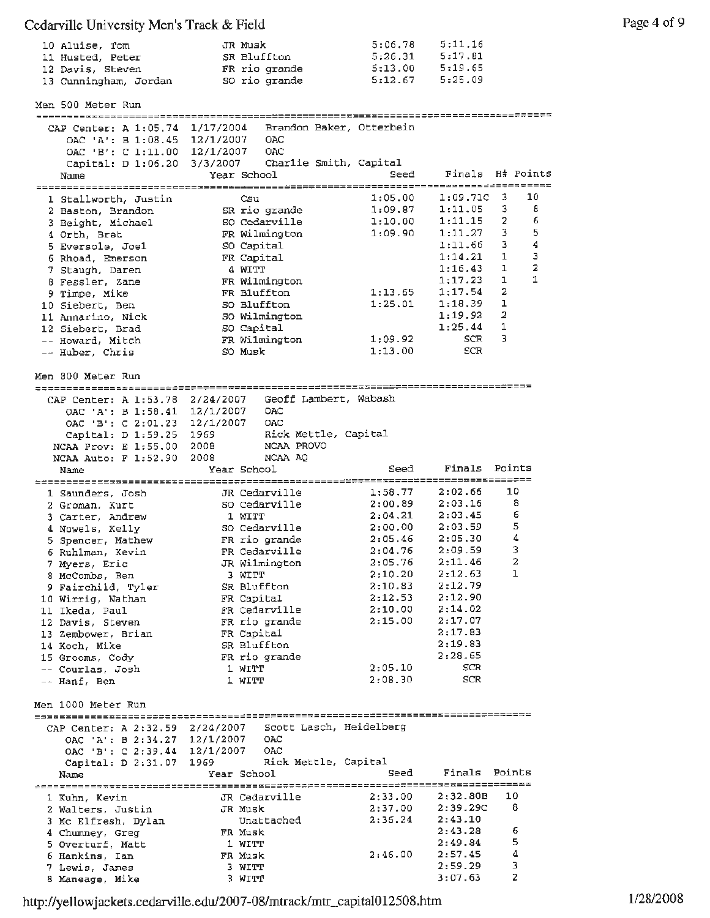| 10 Aluise, Tom        | JR Musk       | 5:06.78 | 5:11.16 |
|-----------------------|---------------|---------|---------|
| 11 Husted, Peter      | SR Bluffton   | 5:26.31 | 5:17.81 |
| 12 Davis, Steven      | FR rio grande | 5:13.00 | 5:19.65 |
| 13 Cunningham, Jordan | SO rio grande | 5:12.67 | 5:25.09 |

Men 500 Meter Run CAP Center: A 1:05,74 1/17/2004 Brandon OAC •A': B 1:08.45 12/1/2007 OAC OAC •E': C 1:11.00 12/1/2007 OAC Baker, Otterbein

|                                     | Capital: D 1:06.20 3/3/2007 Charlie Smith, Capital    |         |                    |                  |
|-------------------------------------|-------------------------------------------------------|---------|--------------------|------------------|
| Name                                | Year School                                           | Seed    |                    | Finals H# Points |
|                                     |                                                       |         |                    |                  |
| 1 Stallworth, Justin                | Csu                                                   | 1:05.00 | 1:09.71C           | 10<br>3          |
| 2 Baston, Brandon                   | SR rio grande                                         | 1:09.87 | 1:11.05            | 8<br>3           |
| 3 Beight, Michael                   | SO Cedarville                                         | 1:10.00 | 1:11.15            | 2<br>6           |
| 4 Orth, Bret                        | FR Wilmington                                         | 1:09.90 | 1:11.27            | 5<br>3           |
| 5 Eversole, Joel                    | SO Capital                                            |         | 1:11.66            | 4<br>з           |
|                                     | FR Capital                                            |         | 1:14.21            | з<br>1           |
| 6 Rhoad, Emerson                    | 4 WITT                                                |         | 1:16.43            | 2<br>ı           |
| 7 Staugh, Daren                     |                                                       |         | 1:17.23            | 1<br>1           |
| 8 Fessler, Zane                     | FR Wilmington                                         | 1:13.65 | 1:17.54            | 2                |
| 9 Timpe, Mike                       | FR Bluffton                                           |         |                    | 1                |
| 10 Siebert, Ben                     | SO Bluffton                                           | 1:25.01 | 1:18.39            |                  |
| 11 Annarino, Nick                   | SO Wilmington                                         |         | 1:19.92            | 2                |
| 12 Siebert, Brad                    | SO Capital                                            |         | 1:25.44            | 1                |
| -- Howard, Mitch                    | FR Wilmington                                         | 1:09.92 | SCR                | 3                |
| -- Huber, Chris                     | SO Musk                                               | 1:13.00 | SCR                |                  |
|                                     |                                                       |         |                    |                  |
| Men 800 Meter Run                   |                                                       |         |                    |                  |
|                                     |                                                       |         |                    |                  |
|                                     | CAP Center: A 1:53.78 2/24/2007 Geoff Lambert, Wabash |         |                    |                  |
|                                     | OAC 'A': B 1:58.41 12/1/2007 OAC                      |         |                    |                  |
|                                     | OAC 'B': C 2:01.23 12/1/2007 OAC                      |         |                    |                  |
| Capital: D 1:59.25 1969             | Rick Mettle, Capital                                  |         |                    |                  |
| NCAA Prov: E 1:55.00 2008           | NCAA PROVO                                            |         |                    |                  |
| NCAA Auto: F 1:52.90 2008           | NCAA AQ                                               |         |                    |                  |
| Name                                | Year School                                           | Seed    | Finals Points      |                  |
|                                     |                                                       |         |                    |                  |
| 1 Saunders, Josh                    | JR Cedarville                                         | 1:58.77 | 2:02.66            | 10               |
| 2 Groman, Kurt                      | SO Cedarville                                         | 2:00.89 | 2:03.16            | 8                |
| 3 Carter, Andrew                    | 1 WITT                                                | 2:04.21 | 2:03.45            | 6                |
| 4 Nowels, Kelly                     | SO Cedarville                                         | 2:00.00 | 2:03.59            | 5                |
| 5 Spencer, Mathew                   | FR rio grande                                         | 2:05.46 | 2:05.30            | $\bf{4}$         |
| 6 Ruhlman, Kevin                    | FR Cedarville                                         | 2:04.76 | 2:09.59            | 3                |
| 7 Myers, Eric                       | JR Wilmington                                         | 2:05.76 | 2:11.46            | $\overline{a}$   |
| 8 McCombs, Ben                      | 3 WITT                                                | 2:10.20 | 2:12.63            | ı                |
| 9 Fairchild, Tyler                  | SR Bluffton                                           | 2:10.83 | 2:12.79            |                  |
| 10 Wirrig, Nathan                   | FR Capital                                            | 2:12.53 | 2:12.90            |                  |
| 11 Ikeda, Paul                      | FR Cedarville                                         | 2:10.00 | 2:14.02            |                  |
| 12 Davis, Steven                    | FR rio grande                                         | 2:15.00 | 2:17.07            |                  |
|                                     | FR Capital                                            |         | 2:17.83            |                  |
| 13 Zembower, Brian<br>14 Koch, Mike | SR Bluffton                                           |         | 2:19.83            |                  |
|                                     |                                                       |         | 2:28.65            |                  |
| 15 Grooms, Cody                     | FR rio grande<br>1 WITT                               | 2:05.10 | SCR                |                  |
| -- Courlas, Josh                    |                                                       | 2:08.30 | SCR                |                  |
| -- Hanf, Ben                        | 1 WITT                                                |         |                    |                  |
|                                     |                                                       |         |                    |                  |
| Men 1000 Meter Run                  |                                                       |         |                    |                  |
|                                     |                                                       |         |                    |                  |
| CAP Center: A 2:32.59 2/24/2007     | Scott Lasch, Heidelberg                               |         |                    |                  |
| OAC 'A': B 2:34.27 12/1/2007        | OAC                                                   |         |                    |                  |
| OAC 'B': C 2:39.44 12/1/2007        | OAC                                                   |         |                    |                  |
| Capital: D 2:31.07                  | Rick Mettle, Capital<br>1969                          |         |                    |                  |
| Name                                | Year School                                           | Seed    | Finals Points      |                  |
|                                     |                                                       |         |                    |                  |
| 1 Kuhn, Kevin                       | JR Cedarville                                         | 2:33.00 | 2:32.80B           | 10               |
| 2 Walters, Justin                   | JR Musk                                               | 2:37.00 | 2:39.29C           | 8                |
| 3 Mc Elfresh, Dylan                 | Unattached                                            | 2:36.24 | 2:43.10            |                  |
| 4 Chumney, Greg                     | FR Musk                                               |         | 2:43.28            | 6                |
| 5 Overturf, Matt                    |                                                       |         |                    |                  |
|                                     | 1 WITT                                                | 2:46.00 | 2:49.84<br>2:57.45 | 5<br>4           |

<sup>6</sup>Hankins, Ian FR Musk 2:46.00 2:57.45 4 7 Lewis, Jarnes 3 WITT 2:59.29 3 8 Maneage, Mike 3 WITT 3:07.63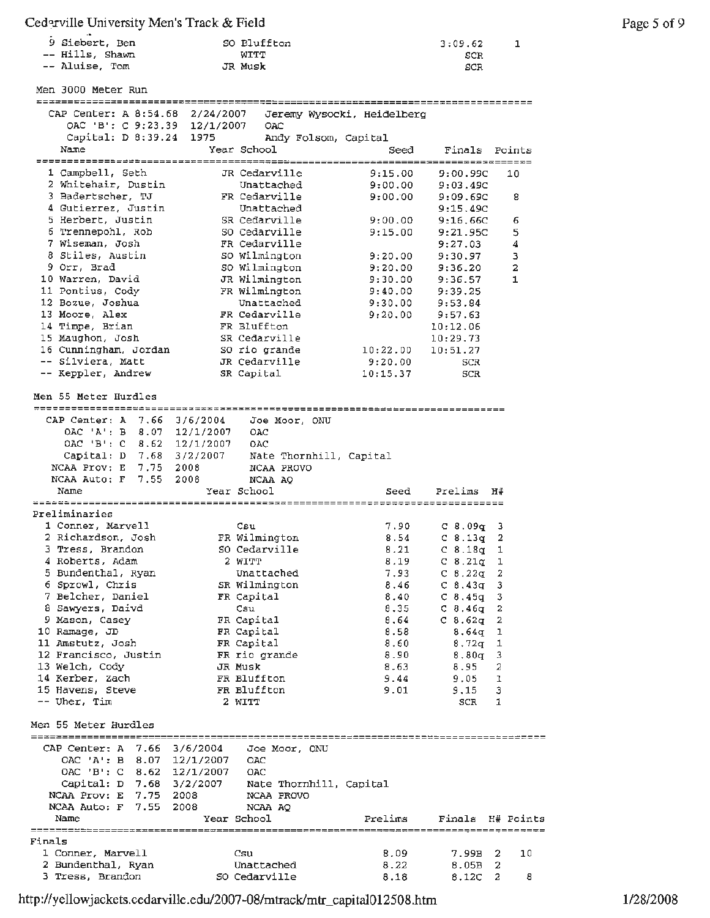| 9 Siebert, Ben  | SO Bluffton | 3:09.62 |
|-----------------|-------------|---------|
| -- Hills, Shawn | WITT        | SCR     |
| -- Aluise, Tom  | JR Musk     | SCR     |

Men 3000 Meter Run

CAP Center: A 8:54.68 2/24/2007 Jeremy Wysocki, Heidelberg OAC 'B': C 9:23.39 12/1/2007 OAC Capital: D 8:39.24 1975 Andy Folsom, Capital Name Year School Seed Finals Points *-----------------------=-=========~=~~==~======================~========~=----==*  1 Campbell, Seth JR Cedarville 9:15.00 9:00.99C 10<br>
2 Whitehair, Dustin Unattached 9:00.00 9:03.49C<br>
3 Badertscher, TJ – FR Cedarville 9:00.00 9:09.69C 8<br>
4 Gutierrez, Justin Unattached <sup>2</sup>Whitehair, Dustin Unattached 9:00.00 9:03.49C 3 Badertscher, TJ FR Cedarville 9:00.00 9:09.69C 8 <sup>4</sup>Gutierrez, Justin Unattached 9:15.49C 5 Herbert, Justin SR Cedarville 9:00.00 9:16.66C 6 6 Trennepohl, Rob 50 Cedarville 9:15.00 9:21.95C 5 7 Wiseman, Josh **FR** Cedarville 9;27.03 4 8 Stiles, Austin so Wilmington 9;20.00 9:30.97 <sup>3</sup> 9 Orr, Brad so Wilmington 9:20.00 9:36.20 2 10 Warren, David JR Wilmington 9:30.00 9:36.57 1 11 Pontius, Cody FR Wilmington 9:40.00 9:39.25 12 Bozue, Joshua Unattached 9:30.00 9:53.84 13 Moore, **Alex** FR Cedarville 9:20.00 9:57.63 14 Timpe, Brian FR Bluffton 10:12.06 15 Maughon, Josh SR Cedarville 10:29.73 16 Cunningham, Jordan so rio grande 10:22.00 10:51.27 silviera, Matt JR Cedarville 9:20.00 SCR Keppler, Andrew **SR** Capital 10:15.37 SCR **Men** 55 Meter Hurdles CAP center: A 7.66 3/6/2004 Joe Moor, ONU OAC 'A•: B 8. 07 12/1/2007 OAC OAC 'B': C 8.62 12/1/2007 OAC Capital: D 7.68 3/2/2007 Nate Thornhill, Capital NCAA Prov: E 7.75 2008 NCAA PROVO NCAA Auto: F 7.55 2008 NCAA **AQ**  Name Year School Seed Prelims **H#**  -------------------------------------------------------~-------------------- Preliminaries 1 Conner, Marvell Csu 7 .90 C 8.09q 3 2 Richardson, Josh FR Wilmington 8.54 C 8.13g 2 3 Tress, Brandon so Cedarville 8.21 c 8.18g 1 **<sup>4</sup>**Roberts, Adam 2 WITT 8.19 C 8.21q 1 5 Bundenthal, Ryan Unattached 7.93 C 8 .22q 2 <sup>6</sup>Sprowl, Chris **SR** Wilmington **8.46** C 8.43q 3 <sup>7</sup>Belcher, Daniel **FR** Capital 8.40 C 8.45g <sup>3</sup> <sup>8</sup>Sawyers, Daivd Csu 8.35 C 8.46g <sup>2</sup> <sup>9</sup>Mason, Casey FR Capital 8.64 C 8.62g 2 10 Ramage, JD **FR** Capital 8.58 8.64g 1 11 Amstutz, Josh **FR** Capital 8.60 8. 72q 1 12 Francisco, Justin **FR** rio grande 8.90 8.80q 3 13 Welch, Cody **JR** Musk 8.63 8.95 2 14 Kerber, Zach FR Bluffton **9.44** 9.05 1 15 Havens, Steve FR Bluffton 9.01 9.15 3 Uher, Tim and 2 WITT 2 2 No. 2 WITT 3CR 1 Men 55 Meter Hurdles ------------------~-----------~--------------------=------------~==============---- CAP Center: A 7.66 3/6/2004 *Joe* Moor, ONU 12/1/2007 OAC OAC 'A': B 8.07 12/1/2007 OAC 'B': C 8.62 12/1/2007 OAC Capital: D 7.68 3/2/2007 Nate Thornhill, Capital NCAA Prov: E 7.75 2008 NCAA PROVO NCAA Auto: F 7. 55 2008 NCAA AQ Finals H# Points Name Year School Prelims Finals 1 Conner, Marvell csu 8.09 7.99B 2 10 Unattached 2 Bundenthal, Ryan 8.22 8.05B 2 3 Tress, Brandon SO Cedarville 8.12C 2 8 8.18

http://yellowjackets.cedarville.edu/2007-08/mtrack/mtr\_capital012508.htm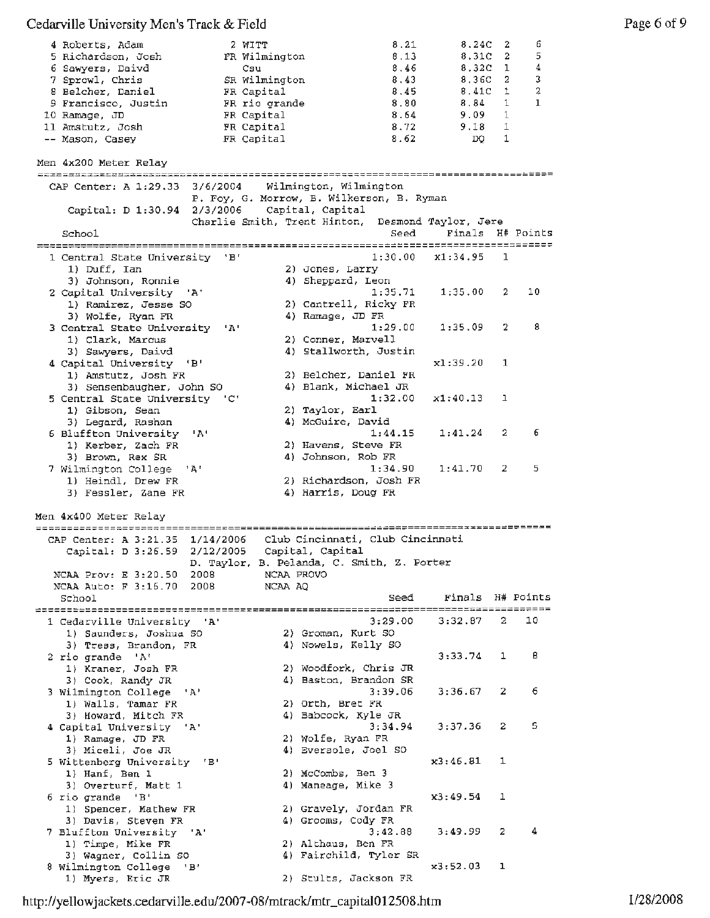# Cedarville University Men's Track & Field Page 6 of 9

| 4 Roberts, Adam                                   |                           | 2 WITT                | 8.21                                              | 8.24C            | $\overline{2}$ | 6                |
|---------------------------------------------------|---------------------------|-----------------------|---------------------------------------------------|------------------|----------------|------------------|
| 5 Richardson, Josh                                |                           | FR Wilmington         | 8.13                                              | 8,31C            | 2              | 5                |
| 6 Sawyers, Daivd<br>7 Sprowl, Chris               |                           | Csu<br>SR Wilmington  | 8.46<br>8,43                                      | 8,32C<br>8,36C   | 1<br>2         | 4<br>3           |
| 8 Belcher, Daniel                                 |                           | FR Capital            | 8.45                                              | 8.41C            | 1              | 2                |
| 9 Francisco, Justin                               |                           | FR rio orande         | 8.80                                              | 8.84             | 1              | $\mathbf{1}$     |
| 10 Ramage, JD                                     |                           | FR Capital            | 8.64                                              | 9.09             | 1              |                  |
| 11 Amstutz, Josh                                  |                           | FR Capital            | 8.72                                              | 9.18             | 1              |                  |
| -- Mason, Casey                                   |                           | FR Capital            | 8.62                                              | DO.              | $\mathbf{1}$   |                  |
| Men 4x200 Meter Relay                             |                           |                       |                                                   |                  |                |                  |
| CAP Center: A 1:29.33                             | 3/6/2004                  |                       | Wilmington, Wilmington                            |                  |                |                  |
| Capital: D 1:30.94 2/3/2006                       |                           | Capital, Capital      | P. Foy, G. Morrow, B. Wilkerson, B. Ryman         |                  |                |                  |
|                                                   |                           |                       | Charlie Smith, Trent Hinton, Desmond Taylor, Jere |                  |                |                  |
| School                                            |                           |                       | Seed                                              |                  |                | Finals H# Points |
| 1 Central State University 'B'                    |                           |                       | 1:30.00                                           | x1:34.95         | 1              |                  |
| 1) Duff, Ian                                      |                           |                       | 2) Jones, Larry                                   |                  |                |                  |
| 3) Johnson, Ronnie                                |                           |                       | 4) Sheppard, Leon                                 |                  |                |                  |
| 2 Capital University 'A'                          |                           |                       | 1:35.71<br>2) Cantrell, Ricky FR                  | 1:35.00          | 2              | 10               |
| 1) Ramirez, Jesse SO<br>3) Wolfe, Ryan FR         |                           |                       | 4) Ramage, JD FR                                  |                  |                |                  |
| 3 Central State University                        | $^{\prime}$ A $^{\prime}$ |                       | 1:29.00                                           | 1:35.09          | 2              | 8                |
| 1) Clark, Marcus                                  |                           |                       | 2) Conner, Marvell                                |                  |                |                  |
| 3) Sawyers, Daivd                                 |                           |                       | 4) Stallworth, Justin                             |                  |                |                  |
| 4 Capital University 'B'<br>1) Amstutz, Josh FR   |                           |                       | 2) Belcher, Daniel FR                             | x1:39.20         | 1              |                  |
| 3) Sensenbaugher, John SO                         |                           |                       | 4) Blank, Michael JR                              |                  |                |                  |
| 5 Central State University 'C'                    |                           |                       | 1:32.00                                           | x1:40.13         | 1              |                  |
| 1) Gibson, Sean                                   |                           |                       | 2) Taylor, Earl                                   |                  |                |                  |
| 3) Legard, Rashan<br>6 Bluffton University 'A'    |                           |                       | 4) McGuire, David<br>1:44.15                      | 1:41.24          | $\mathbf{2}$   | 6                |
| 1) Kerber, Zach FR                                |                           |                       | 2) Havens, Steve FR                               |                  |                |                  |
| 3) Brown, Rex SR                                  |                           |                       | 4) Johnson, Rob FR                                |                  |                |                  |
| 7 Wilmington College 'A'                          |                           |                       | 1:34.90                                           | 1:41.70          | 2              | 5                |
| 1) Heindl, Drew FR                                |                           |                       | 2) Richardson, Josh FR                            |                  |                |                  |
| 3) Fessler, Zane FR                               |                           |                       | 4) Harris, Doug FR                                |                  |                |                  |
| Men 4x400 Meter Relay                             |                           |                       |                                                   |                  |                |                  |
| CAP Center: A 3:21.35 1/14/2006                   |                           |                       | Club Cincinnati, Club Cincinnati                  |                  |                |                  |
| Capital: D 3:26.59 2/12/2005                      |                           | Capital, Capital      |                                                   |                  |                |                  |
|                                                   |                           |                       | D. Taylor, B. Pelanda, C. Smith, Z. Porter        |                  |                |                  |
| NCAA Prov: E 3:20.50<br>NCAA Auto: F 3:16.70 2008 | 2008                      | NCAA PROVO<br>NCAA AQ |                                                   |                  |                |                  |
| School                                            |                           |                       | Seed                                              | Finals H# Points |                |                  |
|                                                   |                           |                       |                                                   |                  |                |                  |
| 1 Cedarville University 'A'                       |                           |                       | 3:29.00                                           | 3:32.87          | 2.             | 10               |
| 1) Saunders, Joshua SO<br>3) Tress, Brandon, FR   |                           |                       | 2) Groman, Kurt SO<br>4) Nowels, Kelly SO         |                  |                |                  |
| 2 rio grande 'A'                                  |                           |                       |                                                   | 3:33.74          | 1              | в                |
| 1) Kraner, Josh FR                                |                           |                       | 2) Woodfork, Chris JR                             |                  |                |                  |
| 3) Cook, Randy JR                                 |                           |                       | 4) Baston, Brandon SR                             |                  |                |                  |
| 3 Wilmington College 'A'                          |                           |                       | 3:39.06<br>2) Orth, Bret FR                       | 3:36.67          | $\mathbf{2}$   | 6                |
| 1) Walls, Tamar FR<br>3) Howard, Mitch FR         |                           |                       | 4) Babcock, Kyle JR                               |                  |                |                  |
| 4 Capital University 'A'                          |                           |                       | 3:34.94                                           | 3:37.36          | 2              | 5                |
| 1) Ramage, JD FR                                  |                           |                       | 2) Wolfe, Ryan FR                                 |                  |                |                  |
| 3) Miceli, Joe JR                                 |                           |                       | 4) Eversole, Joel SO                              | x3:46.81         | 1              |                  |
| 5 Wittenberg University 'B'<br>1) Hanf, Ben 1     |                           |                       | 2) McCombs, Ben 3                                 |                  |                |                  |
| 3) Overturf, Matt 1                               |                           |                       | 4) Maneage, Mike 3                                |                  |                |                  |
| 6 rio grande 'B'                                  |                           |                       |                                                   | x3:49.54         | 1              |                  |
| 1) Spencer, Mathew FR                             |                           |                       | 2) Gravely, Jordan FR                             |                  |                |                  |
| 3) Davis, Steven FR<br>7 Bluffton University 'A'  |                           |                       | 4) Grooms, Cody FR<br>3:42.88                     | 3:49.99          | 2              | 4                |
| 1) Timpe, Mike FR                                 |                           |                       | 2) Althaus, Ben FR                                |                  |                |                  |
| 3) Wagner, Collin SO                              |                           |                       | 4) Fairchild, Tyler SR                            |                  |                |                  |
| 8 Wilmington College 'B'<br>1) Myers, Eric JR     |                           |                       | 2) Stults, Jackson FR                             | x3:52.03         | ı              |                  |
|                                                   |                           |                       |                                                   |                  |                |                  |

http ://yellowj ackets.cedarville .edu/2007-08/mtrack/mtr\_capital0 12508 .htm 1/28/2008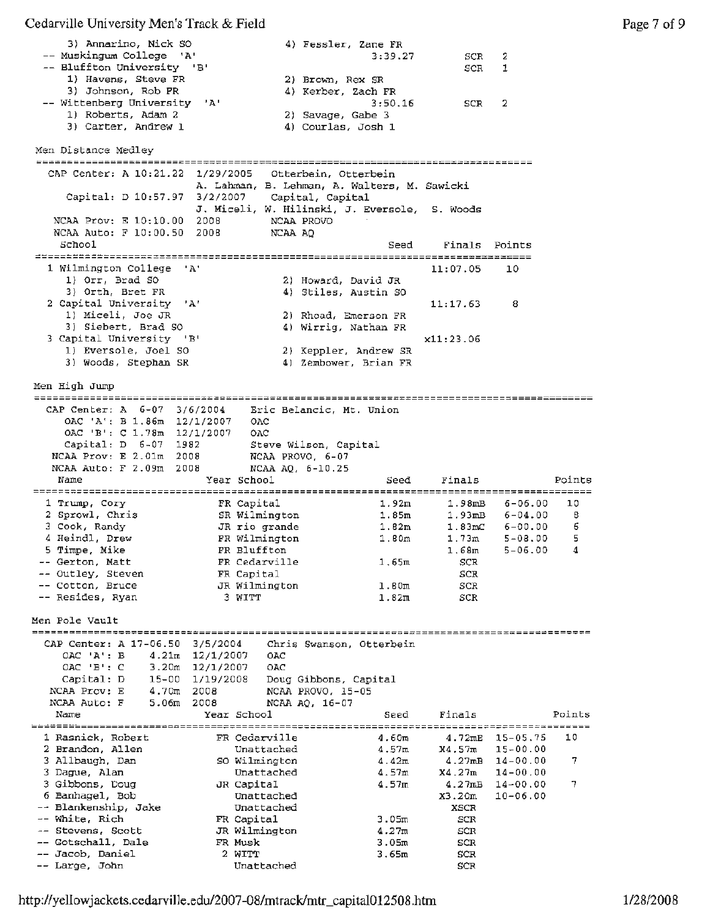3) Annarino, Nick SO 4) Fessler, Zane **FR**  -- Muskingum College 'A' **SCR** 2 -- Bluffton University 'B' SCR 1 1) Havens, Steve FR 2) Brown, Rex SR 3) Johnson, Rob **FR**  4) Kerber, Zach **FR**  Wittenberg University 'A' 3:50.16 SCR 2 1) Roberts, Adam 2 2) Savage, Gabe 3 3) Carter, Andrew 1 **4)** Courlas, Josh 1 Men Distance Medley CAP Center: **A** 10:21.22 1/29/2005 Otterbein, Otterbein **A.** Lahman, B. Lehman, A. Walters, M. Sawicki Capital: D 10:57 .97 3/2/2007 Capital, Capital J. Miceli, w. Hilinski, J. Eversole, s. Woods NCAA Prov: E 10:10.00 200B NCAA PROVO NCAA Auto: F 10:00.50 2008 NCAA AQ Finals Points School Seed 1 Wilmington College 'A' 11:07.05 10 1) Orr, Brad SO 2) Howard, David JR 4) Stiles, Austin SO 3) Orth, Bret FR<br>2 Capital University 'A'<br>1) Miceli, Joe JR<br>3) Siebert, Brad SO 11:17.63 8 1) Miceli, Joe JR 2) Rhoad, Emerson FR 3) Siebert, Brad so 4) Wirrig, Nathan **FR**  3 Capital University 'B' xll:23.06 1) Eversole, Joel SO 2) Keppler, Andrew SR 3) Woods, Stephan **SR** 4) Zembower, Brian FR Men High Jump CAP Center: A 6-07 3/6/2004 Eric Belancic, Mt. Union OAC 'At: B 1.86m 12/1/2007 OAC OAC 'B•: C 1.78m 12/1/2007 OAC Capital: D 6-07 1982 Steve Wilson, Capital NCAA Prov: E 2.0lm 2008 NCAA PROVO, 6-07 NCAA Auto: F 2.09m 200B NCAA AQ, 6-10.25 Name Year School Seed Finals Points 1 Trump, Cory **FR Capital** 1.92m 6-06.00 1.98mB 10 2 Sprowl, Chris SR Wilmington 1. 85m 6-04.00 1.93mB 8 3 Cook, Randy JR rio grande 1. 82m 6-00.00 1.83rnC 6 4 Heindl, Drew FR Wilmington 1.80m 1. 73m 5-08.00 5 5 Timpe, Mike FR Bluffton 5-06.00 1.68m 4 Gerton, Matt **FR** Cedarville 1.65m SCR Outley, Steven FR Capital SCR Cotton, Bruce JR Wilmington 1.80m SCR Resides, Ryan  $3$  WITT  $1.82\pi$ SCR Men Pole Vault CAP Center: A 17-06.50 3/5/2004 Chris Swanson, Otterbein OAC 'A': B 4.21m 12/1/2007 OAC OAC 'B': C 3.20m 12/1/2007 OAC capital: D 15-00 1/19/2008 Doug Gibbons, Capital NCAA Prov: E 4.70m 2008 NCAA PROVO, 15-05 NCAA Auto: F 5.06m 2008 NCAA AQ, 16-07 Name Year School Seed Finals Points 1 Rasnick, Robert FR Cedarville 4.60m 10 15-05.75 4.72mE 2 Brandon, Allen Unattached 4.57m 15-00.00 X4.57m 3 Allbaugh, Dan  $\sim$  SO Wilmington  $4.42m$ 14-00.00 4.27mB 7 14-00.00 3 Dague, Alan Unattached 4.57m X4 .27m <sup>3</sup>Gibbons, Doug JR Capital 4.57m 14-00.00 4.27rnB 7 10-06.00 6 Banhagel, Bob Unattached X3. 20m Blankenship, Jake Unattached XSCR White, Rich FR Capital 3.05m SCR Stevens, Scott JR Wilmington 4.27m SCR Sotschall, Dale FR Musk 3.05m SCR Jacob, Daniel 2 WITT 3.65m SCR Large, John Unattached

SCR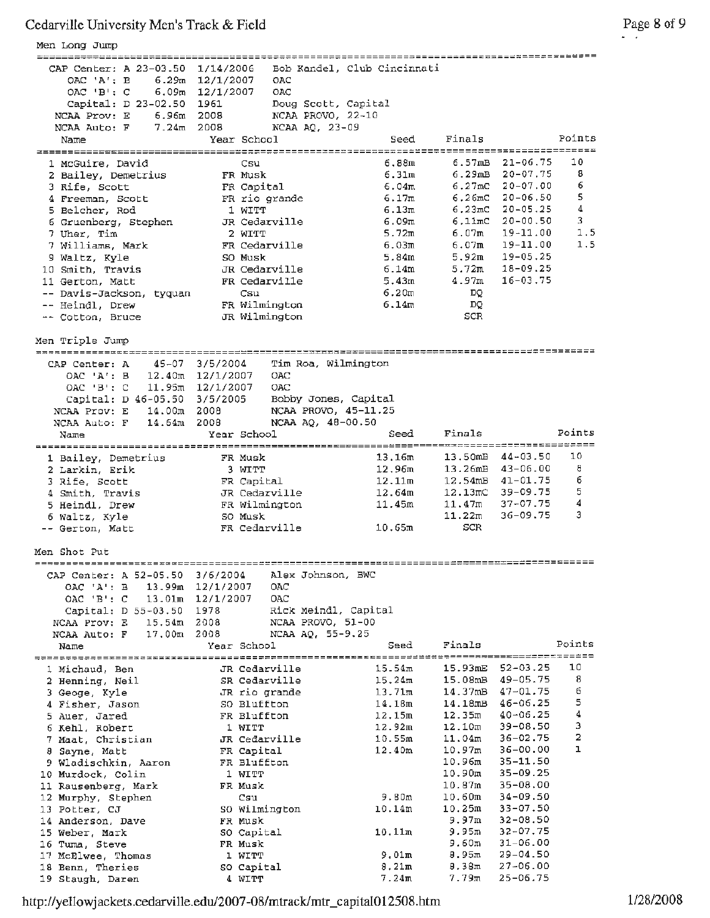Men Long Jump CAP Center: A 23-03.50 1/14/2006 Bob Kandel, club Cincinnati OAC **•Ar:** B 6.29m 12/1/2007 OAC OAC 'B': C 6. 09m 12/1/2007 OAC Capital: D 23-02.50 1961 Doug Scott, Capital NCAA Prov: E 6.96m 2008 NCAA PROVO, 22-10 NCAA Auto: F 7.24m 2008 NCAA AQ, 23-09 Finals Points Name Year School Seed 1 McGuire, David csu 6.88m 6.57mB 21-06.75 10 6.29mB 20-07.75 <sup>8</sup> 2 Bailey, Demetrius FR Musk 6.31m 3 Rife, Scott **FR Capital** 6.04m 6.27mC 20-07.00 6 4 Freeman, Scott FR rio grande 6 .17m 6.26mC 20-06.50 5  $6.23 \text{mC}$  20-05.25 4 5 Belcher, Rod 1 WITT 6.13m 6.llmC 20-00.50 3 6 Gruenberg, Stephen JR Cedarville 6.09m  $6.07m$  19-11.00 1.5 7 Uher, Tim 2 WITT 5.72m  $6.07m$  19-11.00 1.5 <sup>7</sup>Williams, Mark FR Cedarville 6.03m 5.92m 19-05.25 g Waltz, Kyle so Musk 5.84m 10 Smith, Travis JR Cedarville 6.14m 5.72m 18-09.25 4.97m 16-03.75 11 Gerton, Matt FR Cedarville 5.43m Davis-Jackson, tyquan Csu 6.20m DQ Heindl, Drew FR Wilmington 6.14m DQ Cotton, Bruce JR Wilmington SCR Men Triple Jump CAP Center: A 45-07 3/5/2004 Tim Roa, Wilmington OAC **'Ar:** B 12.40m 12/1/2007 OAC OAC 'B': C 11.95m 12/1/2007 OAC Capital: D 46-05.50 3/5/2005 Bobby Jones, Capital NCAA Prov: E 14.00m 2008 NCAA PROVO, 45-11.25 NCAA Auto: **F** 14.64m 2008 NCAA AQ, 48-00.50 Finals Points Name Year School Seed 13. 50mB 44-03.50 10 1 Bailey, Demetrius FR Musk 13.16m 2 Larkin, Erik 3 WITT 12.96m 13.26rnB 43-06.00 <sup>8</sup> 3 Rife, Scott FR Capital 12. llm 12.54rnB 41-01.75 6 4 Smith, Travis JR Cedarville 12.64m 12.13mC 39-09.75 <sup>5</sup> 11. 47:m 37-07.75 **<sup>4</sup>** 5 Heindl, Drew FR Wilmington 11.45m 6 Waltz, Kyle so Musk  $11.22m$   $36-09.75$  3 Gerton, Matt **FR** Cedarville 10.65m SCR Men Shot Put CAP Center: **A** 52-05.50 3/6/2004 Alex Johnson, BWC OAC **'A•:** B 13. 99m 12/1/2007 OAC OAC **1BI:** C 13.0lm 12/1/2007 OAC Capital: D 55-03.50 1978 Rick Meindl, Capital NCAA Prov: E 15. 54m 2008 NCAA PROVO, 51-00 NCAA Auto: **F** 17. 0Om 2008 NCAA AQ, 55-9.25 Name The Year School Seed Finals Points *~===~~~~~======================~=====~~============~========~~====~====~=======~=~~=-----:*  l Michaud, Ben JR Cedarville 15.54m 15.93mE 52-03.25 10 <sup>2</sup>Henning, Neil SR Cedarville 15.24:m 15.0BmB 49-05.75 <sup>8</sup>  $3 \text{ George, } \text{kyle}$   $\text{JR} \text{ rio } \text{grade}$   $13.71\text{m}$   $14.37\text{m} \text{B}$   $47-01.75$  6 1 and the So Bluffton 14.18m 14.18mB 46-06.25 5 5 Auer, Jared FR Bluffton 12.15m 12.35m 40-06.25 4 6 Kehl, Robert 1 WITT 12.92m 12.10m 39-08.50 3 7 Maat, Christian **JR** Cedarville 10. 55m 11.04m 36-02.75 <sup>2</sup> <sup>8</sup>Sayne, Matt FR Capital 12.40m 10.97m 36-00.00 1 9 Wladischkin, Aaron FR Bluffton 10.96m 35-11.50 10 Murdock, Colin 1 WITT 10.90m 35-09.25 10.87m 35-08.00<br>11 Rausenberg, Mark FR Musk 10.87m 35-08.00 12 Murphy, Stephen Csu 9.80m 10.60m 34-09.50 13 Potter, CJ so Wilmington 10.14m 10. 25m 33-07.50 14 Anderson, Dave FR Musk 9.97m 32-08.50 15 Weber, Mark so Capital 10. llm 9.95m 32-07. 75 16 **Turn.a,** Steve FR Musk 9.60m 31-06.00 17 McElwee, Thomas 1 WITT 9.0lrn 8.95m 29-04.50 18 Benn, Theries 50 Capital 8.21m 8.38m 27-06.00 19 Staugh, Daren **4** WITT 7.24m 7.79m 25-06.75

http://yellowjackets.cedarville.edu/2007-08/mtrack/mtr\_capitalOl2508.htm